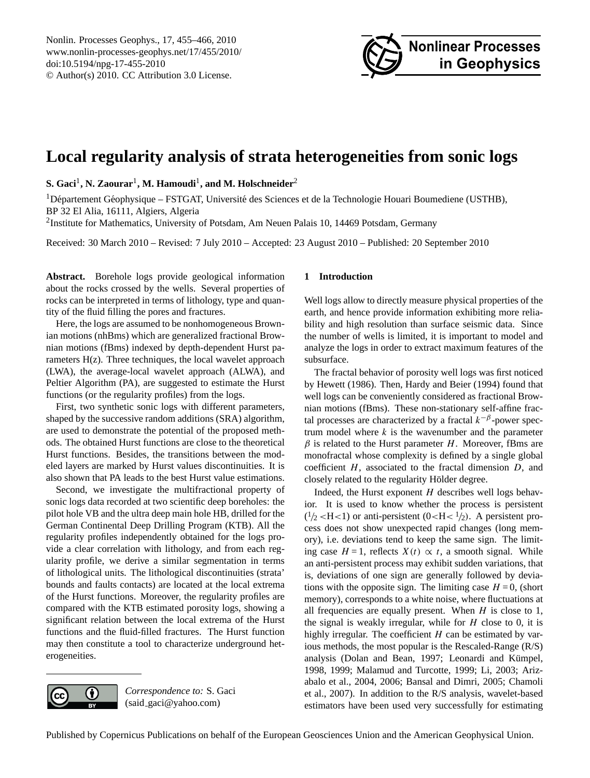<span id="page-0-0"></span>Nonlin. Processes Geophys., 17, 455–466, 2010 www.nonlin-processes-geophys.net/17/455/2010/ doi:10.5194/npg-17-455-2010 © Author(s) 2010. CC Attribution 3.0 License.



# **Local regularity analysis of strata heterogeneities from sonic logs**

 ${\bf S}.$  Gaci<sup>1</sup>, N. Zaourar<sup>1</sup>, M. Hamoudi<sup>1</sup>, and M. Holschneider<sup>2</sup>

 ${}^{1}$ Département Géophysique – FSTGAT, Université des Sciences et de la Technologie Houari Boumediene (USTHB), BP 32 El Alia, 16111, Algiers, Algeria

<sup>2</sup>Institute for Mathematics, University of Potsdam, Am Neuen Palais 10, 14469 Potsdam, Germany

Received: 30 March 2010 – Revised: 7 July 2010 – Accepted: 23 August 2010 – Published: 20 September 2010

**Abstract.** Borehole logs provide geological information about the rocks crossed by the wells. Several properties of rocks can be interpreted in terms of lithology, type and quantity of the fluid filling the pores and fractures.

Here, the logs are assumed to be nonhomogeneous Brownian motions (nhBms) which are generalized fractional Brownian motions (fBms) indexed by depth-dependent Hurst parameters  $H(z)$ . Three techniques, the local wavelet approach (LWA), the average-local wavelet approach (ALWA), and Peltier Algorithm (PA), are suggested to estimate the Hurst functions (or the regularity profiles) from the logs.

First, two synthetic sonic logs with different parameters, shaped by the successive random additions (SRA) algorithm, are used to demonstrate the potential of the proposed methods. The obtained Hurst functions are close to the theoretical Hurst functions. Besides, the transitions between the modeled layers are marked by Hurst values discontinuities. It is also shown that PA leads to the best Hurst value estimations.

Second, we investigate the multifractional property of sonic logs data recorded at two scientific deep boreholes: the pilot hole VB and the ultra deep main hole HB, drilled for the German Continental Deep Drilling Program (KTB). All the regularity profiles independently obtained for the logs provide a clear correlation with lithology, and from each regularity profile, we derive a similar segmentation in terms of lithological units. The lithological discontinuities (strata' bounds and faults contacts) are located at the local extrema of the Hurst functions. Moreover, the regularity profiles are compared with the KTB estimated porosity logs, showing a significant relation between the local extrema of the Hurst functions and the fluid-filled fractures. The Hurst function may then constitute a tool to characterize underground heterogeneities.



*Correspondence to:* S. Gaci (said gaci@yahoo.com)

### **1 Introduction**

Well logs allow to directly measure physical properties of the earth, and hence provide information exhibiting more reliability and high resolution than surface seismic data. Since the number of wells is limited, it is important to model and analyze the logs in order to extract maximum features of the subsurface.

The fractal behavior of porosity well logs was first noticed by Hewett (1986). Then, Hardy and Beier (1994) found that well logs can be conveniently considered as fractional Brownian motions (fBms). These non-stationary self-affine fractal processes are characterized by a fractal  $k^{-\beta}$ -power spectrum model where  $k$  is the wavenumber and the parameter  $\beta$  is related to the Hurst parameter H. Moreover, fBms are monofractal whose complexity is defined by a single global coefficient  $H$ , associated to the fractal dimension  $D$ , and closely related to the regularity Hölder degree.

Indeed, the Hurst exponent  $H$  describes well logs behavior. It is used to know whether the process is persistent  $(1/2 < H < 1)$  or anti-persistent  $(0 < H < 1/2)$ . A persistent process does not show unexpected rapid changes (long memory), i.e. deviations tend to keep the same sign. The limiting case  $H = 1$ , reflects  $X(t) \propto t$ , a smooth signal. While an anti-persistent process may exhibit sudden variations, that is, deviations of one sign are generally followed by deviations with the opposite sign. The limiting case  $H = 0$ , (short memory), corresponds to a white noise, where fluctuations at all frequencies are equally present. When  $H$  is close to 1, the signal is weakly irregular, while for  $H$  close to 0, it is highly irregular. The coefficient  $H$  can be estimated by various methods, the most popular is the Rescaled-Range (R/S) analysis (Dolan and Bean, 1997; Leonardi and Kümpel, 1998, 1999; Malamud and Turcotte, 1999; Li, 2003; Arizabalo et al., 2004, 2006; Bansal and Dimri, 2005; Chamoli et al., 2007). In addition to the R/S analysis, wavelet-based estimators have been used very successfully for estimating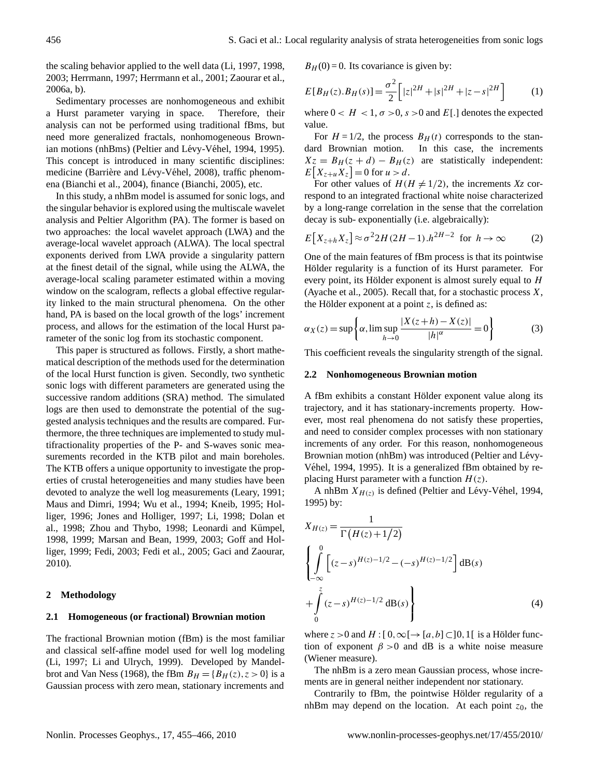the scaling behavior applied to the well data (Li, 1997, 1998, 2003; Herrmann, 1997; Herrmann et al., 2001; Zaourar et al., 2006a, b).

Sedimentary processes are nonhomogeneous and exhibit a Hurst parameter varying in space. Therefore, their analysis can not be performed using traditional fBms, but need more generalized fractals, nonhomogeneous Brownian motions (nhBms) (Peltier and Lévy-Véhel, 1994, 1995). This concept is introduced in many scientific disciplines: medicine (Barrière and Lévy-Véhel, 2008), traffic phenomena (Bianchi et al., 2004), finance (Bianchi, 2005), etc.

In this study, a nhBm model is assumed for sonic logs, and the singular behavior is explored using the multiscale wavelet analysis and Peltier Algorithm (PA). The former is based on two approaches: the local wavelet approach (LWA) and the average-local wavelet approach (ALWA). The local spectral exponents derived from LWA provide a singularity pattern at the finest detail of the signal, while using the ALWA, the average-local scaling parameter estimated within a moving window on the scalogram, reflects a global effective regularity linked to the main structural phenomena. On the other hand, PA is based on the local growth of the logs' increment process, and allows for the estimation of the local Hurst parameter of the sonic log from its stochastic component.

This paper is structured as follows. Firstly, a short mathematical description of the methods used for the determination of the local Hurst function is given. Secondly, two synthetic sonic logs with different parameters are generated using the successive random additions (SRA) method. The simulated logs are then used to demonstrate the potential of the suggested analysis techniques and the results are compared. Furthermore, the three techniques are implemented to study multifractionality properties of the P- and S-waves sonic measurements recorded in the KTB pilot and main boreholes. The KTB offers a unique opportunity to investigate the properties of crustal heterogeneities and many studies have been devoted to analyze the well log measurements (Leary, 1991; Maus and Dimri, 1994; Wu et al., 1994; Kneib, 1995; Holliger, 1996; Jones and Holliger, 1997; Li, 1998; Dolan et al., 1998; Zhou and Thybo, 1998; Leonardi and Kümpel, 1998, 1999; Marsan and Bean, 1999, 2003; Goff and Holliger, 1999; Fedi, 2003; Fedi et al., 2005; Gaci and Zaourar, 2010).

#### **2 Methodology**

#### **2.1 Homogeneous (or fractional) Brownian motion**

The fractional Brownian motion (fBm) is the most familiar and classical self-affine model used for well log modeling (Li, 1997; Li and Ulrych, 1999). Developed by Mandelbrot and Van Ness (1968), the fBm  $B_H = {B_H(z), z > 0}$  is a Gaussian process with zero mean, stationary increments and

 $B_H(0) = 0$ . Its covariance is given by:

$$
E[B_H(z).B_H(s)] = \frac{\sigma^2}{2} \Big[ |z|^{2H} + |s|^{2H} + |z - s|^{2H} \Big] \tag{1}
$$

where  $0 < H < 1, \sigma > 0, s > 0$  and E[.] denotes the expected value.

For  $H = 1/2$ , the process  $B_H(t)$  corresponds to the stan-<br>dard Brownian motion. In this case, the increments In this case, the increments  $Xz = B_H(z + d) - B_H(z)$  are statistically independent:  $E[X_{z+u}X_z]=0$  for  $u > d$ .

For other values of  $H(H \neq 1/2)$ , the increments  $X_z$  correspond to an integrated fractional white noise characterized by a long-range correlation in the sense that the correlation decay is sub- exponentially (i.e. algebraically):

$$
E[X_{z+h}X_z] \approx \sigma^2 2H(2H-1).h^{2H-2} \text{ for } h \to \infty \tag{2}
$$

One of the main features of fBm process is that its pointwise Hölder regularity is a function of its Hurst parameter. For every point, its Hölder exponent is almost surely equal to  $H$ (Ayache et al., 2005). Recall that, for a stochastic process  $X$ , the Hölder exponent at a point  $z$ , is defined as:

$$
\alpha_X(z) = \sup \left\{ \alpha, \limsup_{h \to 0} \frac{|X(z+h) - X(z)|}{|h|^\alpha} = 0 \right\} \tag{3}
$$

This coefficient reveals the singularity strength of the signal.

#### **2.2 Nonhomogeneous Brownian motion**

A fBm exhibits a constant Hölder exponent value along its trajectory, and it has stationary-increments property. However, most real phenomena do not satisfy these properties, and need to consider complex processes with non stationary increments of any order. For this reason, nonhomogeneous Brownian motion (nhBm) was introduced (Peltier and Lévy-Véhel, 1994, 1995). It is a generalized fBm obtained by replacing Hurst parameter with a function  $H(z)$ .

A nhBm  $X_{H(z)}$  is defined (Peltier and Lévy-Véhel, 1994, 1995) by:

$$
X_{H(z)} = \frac{1}{\Gamma(H(z) + 1/2)}
$$
  
\n
$$
\left\{ \int_{-\infty}^{0} \left[ (z - s)^{H(z) - 1/2} - (-s)^{H(z) - 1/2} \right] dB(s) + \int_{0}^{z} (z - s)^{H(z) - 1/2} dB(s) \right\}
$$
 (4)

where  $z > 0$  and  $H : [0, \infty) \rightarrow [a, b] \subset ]0, 1[$  is a Hölder function of exponent  $\beta > 0$  and dB is a white noise measure (Wiener measure).

The nhBm is a zero mean Gaussian process, whose increments are in general neither independent nor stationary.

Contrarily to fBm, the pointwise Hölder regularity of a nhBm may depend on the location. At each point  $z_0$ , the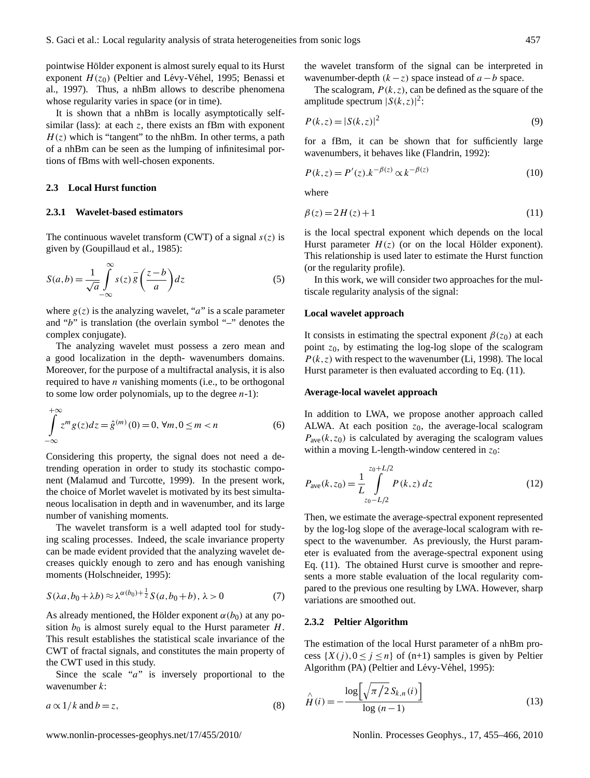pointwise Hölder exponent is almost surely equal to its Hurst exponent  $H(z_0)$  (Peltier and Lévy-Véhel, 1995; Benassi et al., 1997). Thus, a nhBm allows to describe phenomena whose regularity varies in space (or in time).

It is shown that a nhBm is locally asymptotically selfsimilar (lass): at each  $z$ , there exists an fBm with exponent  $H(z)$  which is "tangent" to the nhBm. In other terms, a path of a nhBm can be seen as the lumping of infinitesimal portions of fBms with well-chosen exponents.

# **2.3 Local Hurst function**

#### **2.3.1 Wavelet-based estimators**

The continuous wavelet transform (CWT) of a signal  $s(z)$  is given by (Goupillaud et al., 1985):

$$
S(a,b) = \frac{1}{\sqrt{a}} \int_{-\infty}^{\infty} s(z) \overline{g} \left( \frac{z-b}{a} \right) dz
$$
 (5)

where  $g(z)$  is the analyzing wavelet, "a" is a scale parameter and "b" is translation (the overlain symbol "–" denotes the complex conjugate).

The analyzing wavelet must possess a zero mean and a good localization in the depth- wavenumbers domains. Moreover, for the purpose of a multifractal analysis, it is also required to have  $n$  vanishing moments (i.e., to be orthogonal to some low order polynomials, up to the degree  $n-1$ :

$$
\int_{-\infty}^{+\infty} z^m g(z) dz = \hat{g}^{(m)}(0) = 0, \forall m, 0 \le m < n
$$
 (6)

Considering this property, the signal does not need a detrending operation in order to study its stochastic component (Malamud and Turcotte, 1999). In the present work, the choice of Morlet wavelet is motivated by its best simultaneous localisation in depth and in wavenumber, and its large number of vanishing moments.

The wavelet transform is a well adapted tool for studying scaling processes. Indeed, the scale invariance property can be made evident provided that the analyzing wavelet decreases quickly enough to zero and has enough vanishing moments (Holschneider, 1995):

$$
S(\lambda a, b_0 + \lambda b) \approx \lambda^{\alpha(b_0) + \frac{1}{2}} S(a, b_0 + b), \lambda > 0
$$
 (7)

As already mentioned, the Hölder exponent  $\alpha(b_0)$  at any position  $b_0$  is almost surely equal to the Hurst parameter H. This result establishes the statistical scale invariance of the CWT of fractal signals, and constitutes the main property of the CWT used in this study.

Since the scale " $a$ " is inversely proportional to the wavenumber k:

$$
a \propto 1/k \text{ and } b = z,\tag{8}
$$

the wavelet transform of the signal can be interpreted in wavenumber-depth  $(k-z)$  space instead of  $a - b$  space.

The scalogram,  $P(k, z)$ , can be defined as the square of the amplitude spectrum  $|S(k, z)|^2$ :

$$
P(k, z) = |S(k, z)|^2
$$
 (9)

for a fBm, it can be shown that for sufficiently large wavenumbers, it behaves like (Flandrin, 1992):

$$
P(k, z) = P'(z) \cdot k^{-\beta(z)} \propto k^{-\beta(z)}
$$
 (10)

where

$$
\beta(z) = 2H(z) + 1\tag{11}
$$

is the local spectral exponent which depends on the local Hurst parameter  $H(z)$  (or on the local Hölder exponent). This relationship is used later to estimate the Hurst function (or the regularity profile).

In this work, we will consider two approaches for the multiscale regularity analysis of the signal:

#### **Local wavelet approach**

It consists in estimating the spectral exponent  $\beta(z_0)$  at each point  $z<sub>0</sub>$ , by estimating the log-log slope of the scalogram  $P(k, z)$  with respect to the wavenumber (Li, 1998). The local Hurst parameter is then evaluated according to Eq. (11).

#### **Average-local wavelet approach**

In addition to LWA, we propose another approach called ALWA. At each position  $z_0$ , the average-local scalogram  $P_{\text{ave}}(k, z_0)$  is calculated by averaging the scalogram values within a moving L-length-window centered in  $z_0$ :

$$
P_{\text{ave}}(k, z_0) = \frac{1}{L} \int_{z_0 - L/2}^{z_0 + L/2} P(k, z) dz
$$
 (12)

Then, we estimate the average-spectral exponent represented by the log-log slope of the average-local scalogram with respect to the wavenumber. As previously, the Hurst parameter is evaluated from the average-spectral exponent using Eq. (11). The obtained Hurst curve is smoother and represents a more stable evaluation of the local regularity compared to the previous one resulting by LWA. However, sharp variations are smoothed out.

## **2.3.2 Peltier Algorithm**

The estimation of the local Hurst parameter of a nhBm process  $\{X(j), 0 \le j \le n\}$  of (n+1) samples is given by Peltier Algorithm (PA) (Peltier and Lévy-Véhel, 1995):

$$
\hat{H}(i) = -\frac{\log\left[\sqrt{\pi/2}S_{k,n}(i)\right]}{\log(n-1)}
$$
\n(13)

www.nonlin-processes-geophys.net/17/455/2010/ Nonlin. Processes Geophys., 17, 455[–466,](#page-0-0) 2010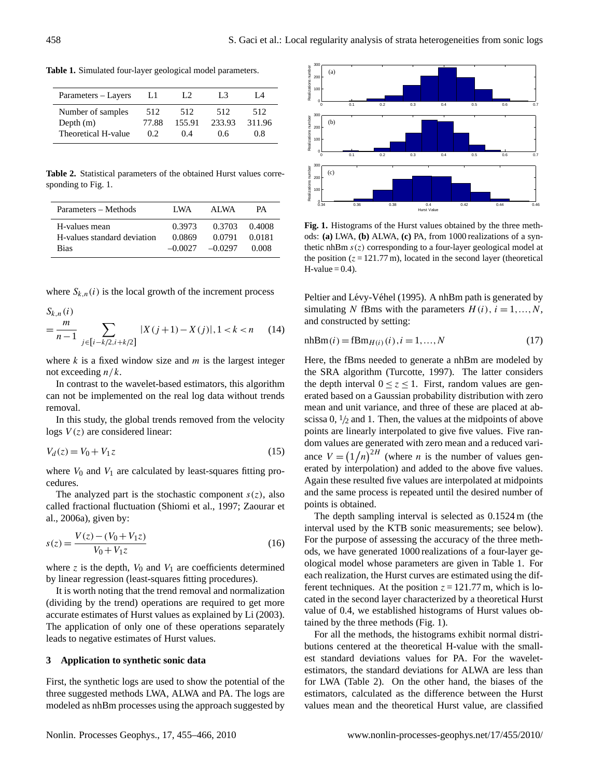| Parameters - Layers | IJ    | 1.2    | L3     | I 4    |
|---------------------|-------|--------|--------|--------|
| Number of samples   | 512   | 512    | 512    | 512    |
| Depth $(m)$         | 77.88 | 155.91 | 233.93 | 311.96 |
| Theoretical H-value | 02    | (14)   | 06     | 08     |

**Table 1.** Simulated four-layer geological model parameters.

**Table 2.** Statistical parameters of the obtained Hurst values corresponding to Fig. 1.

| Parameters – Methods        | I WA      | AI WA     | PA.    |
|-----------------------------|-----------|-----------|--------|
| H-values mean               | 0.3973    | 0.3703    | 0.4008 |
| H-values standard deviation | 0.0869    | 0.0791    | 0.0181 |
| <b>Bias</b>                 | $-0.0027$ | $-0.0297$ | 0.008  |

where  $S_{k,n}(i)$  is the local growth of the increment process

$$
S_{k,n}(i)
$$
  
=  $\frac{m}{n-1}$   $\sum_{j \in [i-k/2,i+k/2]} |X(j+1) - X(j)|, 1 < k < n$  (14)

where  $k$  is a fixed window size and  $m$  is the largest integer not exceeding  $n/k$ .

In contrast to the wavelet-based estimators, this algorithm can not be implemented on the real log data without trends removal.

In this study, the global trends removed from the velocity logs  $V(z)$  are considered linear:

$$
V_d(z) = V_0 + V_1 z \tag{15}
$$

where  $V_0$  and  $V_1$  are calculated by least-squares fitting procedures.

The analyzed part is the stochastic component  $s(z)$ , also called fractional fluctuation (Shiomi et al., 1997; Zaourar et al., 2006a), given by:

$$
s(z) = \frac{V(z) - (V_0 + V_1 z)}{V_0 + V_1 z} \tag{16}
$$

where z is the depth,  $V_0$  and  $V_1$  are coefficients determined by linear regression (least-squares fitting procedures).

It is worth noting that the trend removal and normalization (dividing by the trend) operations are required to get more accurate estimates of Hurst values as explained by Li (2003). The application of only one of these operations separately leads to negative estimates of Hurst values.

# **3 Application to synthetic sonic data**

First, the synthetic logs are used to show the potential of the three suggested methods LWA, ALWA and PA. The logs are



**Fig. 1.** Histograms of the Hurst values obtained by the three meth-1 ods: **(a)** LWA, **(b)** ALWA, **(c)** PA, from 1000 realizations of a synthe position  $(z = 121.77 \text{ m})$ , located in the second layer (theoretical thetic nhBm  $s(z)$  corresponding to a four-layer geological model at  $H$ -value = 0.4).

and constructed by setting: simulating N fBms with the parameters  $H(i)$ ,  $i = 1,...,N$ , Peltier and Lévy-Véhel (1995). A nhBm path is generated by  $\frac{S}{\text{simulating } N}$  fBms with the parameters  $H(i)$ ,  $i = 1$ 

$$
nhBm(i) = fBm_{H(i)}(i), i = 1,...,N
$$
\n(17)

mean and unit variance, and three of these are placed at abcity scissa 0,  $1/2$  and 1. Then, the values at the midpoints of above points are linearly interpolated to give five values. Five ranthe depth interval  $0 \le z \le 1$ . First, random values are generated based on a Gaussian probability distribution with zero the SRA algorithm (Turcotte, 1997). The latter considers Here, the fBms needed to generate a nhBm are modeled by dom values are generated with zero mean and a reduced variance  $V = (1/n)^{2H}$  (where *n* is the number of values generated by interpolation) and added to the above five values. Again these resulted five values are interpolated at midpoints and the same process is repeated until the desired number of points is obtained.

where  $V_0$  and  $V_1$  are calculated by least-squares fitting processed of the above five values.<br>
The analyzed part is the stochastic component  $s(z)$ , also and the same process is repeated until the desired annipoints<br>
a The depth sampling interval is selected as 0.1524 m (the interval used by the KTB sonic measurements; see below). For the purpose of assessing the accuracy of the three methods, we have generated 1000 realizations of a four-layer geological model whose parameters are given in Table 1. For each realization, the Hurst curves are estimated using the different techniques. At the position  $z = 121.77$  m, which is located in the second layer characterized by a theoretical Hurst value of 0.4, we established histograms of Hurst values obtained by the three methods (Fig. 1).

For all the methods, the histograms exhibit normal distributions centered at the theoretical H-value with the smallest standard deviations values for PA. For the waveletestimators, the standard deviations for ALWA are less than for LWA (Table 2). On the other hand, the biases of the estimators, calculated as the difference between the Hurst values mean and the theoretical Hurst value, are classified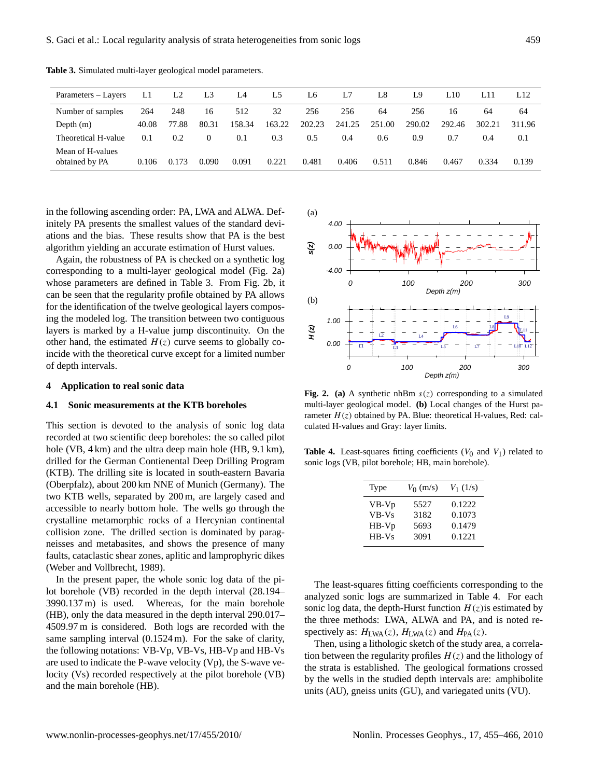| L1                  | L2    | L <sub>3</sub> | L4     | L5     | L6     | L7     | L8     | L9     | L10    | L11    | L12    |
|---------------------|-------|----------------|--------|--------|--------|--------|--------|--------|--------|--------|--------|
| 264                 | 248   | 16             | 512    | 32     | 256    | 256    | 64     | 256    | 16     | 64     | 64     |
| 40.08               | 77.88 | 80.31          | 158.34 | 163.22 | 202.23 | 241.25 | 251.00 | 290.02 | 292.46 | 302.21 | 311.96 |
| 0.1                 | 0.2   | $\overline{0}$ | 0.1    | 0.3    | 0.5    | 0.4    | 0.6    | 0.9    | 0.7    | 0.4    | 0.1    |
| 0.106               | 0.173 | 0.090          | 0.091  | 0.221  | 0.481  | 0.406  | 0.511  | 0.846  | 0.467  | 0.334  | 0.139  |
| Parameters – Layers |       |                |        |        |        |        |        |        |        |        |        |

**Table 3.** Simulated multi-layer geological model parameters.

in the following ascending order: PA, LWA and ALWA. Definitely PA presents the smallest values of the standard deviations and the bias. These results show that PA is the best algorithm yielding an accurate estimation of Hurst values.

Again, the robustness of PA is checked on a synthetic log corresponding to a multi-layer geological model (Fig. 2a) whose parameters are defined in Table 3. From Fig. 2b, it can be seen that the regularity profile obtained by PA allows for the identification of the twelve geological layers composing the modeled log. The transition between two contiguous layers is marked by a H-value jump discontinuity. On the other hand, the estimated  $H(z)$  curve seems to globally coincide with the theoretical curve except for a limited number of depth intervals.

## **4 Application to real sonic data**

# **4.1 Sonic measurements at the KTB boreholes**

This section is devoted to the analysis of sonic log data recorded at two scientific deep boreholes: the so called pilot hole (VB, 4 km) and the ultra deep main hole (HB, 9.1 km), drilled for the German Contienental Deep Drilling Program (KTB). The drilling site is located in south-eastern Bavaria (Oberpfalz), about 200 km NNE of Munich (Germany). The two KTB wells, separated by 200 m, are largely cased and accessible to nearly bottom hole. The wells go through the crystalline metamorphic rocks of a Hercynian continental collision zone. The drilled section is dominated by paragneisses and metabasites, and shows the presence of many faults, cataclastic shear zones, aplitic and lamprophyric dikes (Weber and Vollbrecht, 1989).

In the present paper, the whole sonic log data of the pilot borehole (VB) recorded in the depth interval (28.194– 3990.137 m) is used. Whereas, for the main borehole (HB), only the data measured in the depth interval 290.017– 4509.97 m is considered. Both logs are recorded with the same sampling interval (0.1524 m). For the sake of clarity, the following notations: VB-Vp, VB-Vs, HB-Vp and HB-Vs are used to indicate the P-wave velocity (Vp), the S-wave velocity (Vs) recorded respectively at the pilot borehole (VB) and the main borehole (HB).



**Fig. 2.** (a) A synthetic nhBm  $s(z)$  corresponding to a simulated  $\frac{1}{2}$  mutu-layer geological model. (b) Eocal changes of the Hurst parameter  $H(z)$  obtained by PA. Blue: theoretical H-values, Red: calmulti-layer geological model. **(b)** Local changes of the Hurst paculated H-values and Gray: layer limits.

**Table 4.** Least-squares fitting coefficients  $(V_0$  and  $V_1)$  related to sonic logs (VB, pilot borehole; HB, main borehole).

| Type        | $V_0$ (m/s) | $V_1(1/s)$ |
|-------------|-------------|------------|
| $VB$ - $Vp$ | 5527        | 0.1222     |
| VB-Vs       | 3182        | 0.1073     |
| $HB-Vp$     | 5693        | 0.1479     |
| $HB-Vs$     | 3091        | 0.1221     |

The least-squares fitting coefficients corresponding to the analyzed sonic logs are summarized in Table 4. For each sonic log data, the depth-Hurst function  $H(z)$  is estimated by the three methods: LWA, ALWA and PA, and is noted respectively as:  $H_{LWA}(z)$ ,  $H_{LWA}(z)$  and  $H_{PA}(z)$ .

Then, using a lithologic sketch of the study area, a correlation between the regularity profiles  $H(z)$  and the lithology of the strata is established. The geological formations crossed by the wells in the studied depth intervals are: amphibolite units (AU), gneiss units (GU), and variegated units (VU).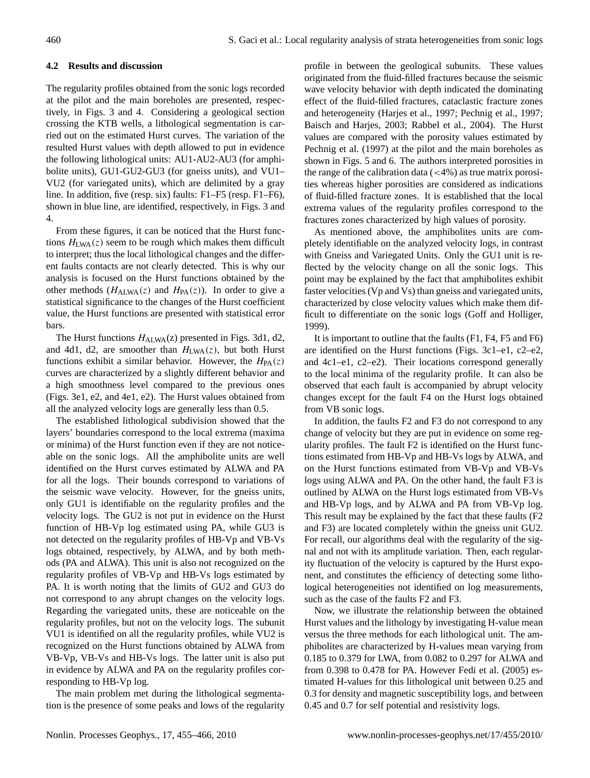# **4.2 Results and discussion**

The regularity profiles obtained from the sonic logs recorded at the pilot and the main boreholes are presented, respectively, in Figs. 3 and 4. Considering a geological section crossing the KTB wells, a lithological segmentation is carried out on the estimated Hurst curves. The variation of the resulted Hurst values with depth allowed to put in evidence the following lithological units: AU1-AU2-AU3 (for amphibolite units), GU1-GU2-GU3 (for gneiss units), and VU1– VU2 (for variegated units), which are delimited by a gray line. In addition, five (resp. six) faults: F1–F5 (resp. F1–F6), shown in blue line, are identified, respectively, in Figs. 3 and 4.

From these figures, it can be noticed that the Hurst functions  $H<sub>LWA</sub>(z)$  seem to be rough which makes them difficult to interpret; thus the local lithological changes and the different faults contacts are not clearly detected. This is why our analysis is focused on the Hurst functions obtained by the other methods  $(H_{ALWA}(z)$  and  $H_{PA}(z)$ ). In order to give a statistical significance to the changes of the Hurst coefficient value, the Hurst functions are presented with statistical error bars.

The Hurst functions  $H_{ALWA}(z)$  presented in Figs. 3d1, d2, and 4d1, d2, are smoother than  $H<sub>LWA</sub>(z)$ , but both Hurst functions exhibit a similar behavior. However, the  $H_{PA}(z)$ curves are characterized by a slightly different behavior and a high smoothness level compared to the previous ones (Figs. 3e1, e2, and 4e1, e2). The Hurst values obtained from all the analyzed velocity logs are generally less than 0.5.

The established lithological subdivision showed that the layers' boundaries correspond to the local extrema (maxima or minima) of the Hurst function even if they are not noticeable on the sonic logs. All the amphibolite units are well identified on the Hurst curves estimated by ALWA and PA for all the logs. Their bounds correspond to variations of the seismic wave velocity. However, for the gneiss units, only GU1 is identifiable on the regularity profiles and the velocity logs. The GU2 is not put in evidence on the Hurst function of HB-Vp log estimated using PA, while GU3 is not detected on the regularity profiles of HB-Vp and VB-Vs logs obtained, respectively, by ALWA, and by both methods (PA and ALWA). This unit is also not recognized on the regularity profiles of VB-Vp and HB-Vs logs estimated by PA. It is worth noting that the limits of GU2 and GU3 do not correspond to any abrupt changes on the velocity logs. Regarding the variegated units, these are noticeable on the regularity profiles, but not on the velocity logs. The subunit VU1 is identified on all the regularity profiles, while VU2 is recognized on the Hurst functions obtained by ALWA from VB-Vp, VB-Vs and HB-Vs logs. The latter unit is also put in evidence by ALWA and PA on the regularity profiles corresponding to HB-Vp log.

The main problem met during the lithological segmentation is the presence of some peaks and lows of the regularity profile in between the geological subunits. These values originated from the fluid-filled fractures because the seismic wave velocity behavior with depth indicated the dominating effect of the fluid-filled fractures, cataclastic fracture zones and heterogeneity (Harjes et al., 1997; Pechnig et al., 1997; Baisch and Harjes, 2003; Rabbel et al., 2004). The Hurst values are compared with the porosity values estimated by Pechnig et al. (1997) at the pilot and the main boreholes as shown in Figs. 5 and 6. The authors interpreted porosities in the range of the calibration data  $\left( < 4\% \right)$  as true matrix porosities whereas higher porosities are considered as indications of fluid-filled fracture zones. It is established that the local extrema values of the regularity profiles correspond to the fractures zones characterized by high values of porosity.

As mentioned above, the amphibolites units are completely identifiable on the analyzed velocity logs, in contrast with Gneiss and Variegated Units. Only the GU1 unit is reflected by the velocity change on all the sonic logs. This point may be explained by the fact that amphibolites exhibit faster velocities (Vp and Vs) than gneiss and variegated units, characterized by close velocity values which make them difficult to differentiate on the sonic logs (Goff and Holliger, 1999).

It is important to outline that the faults (F1, F4, F5 and F6) are identified on the Hurst functions (Figs. 3c1–e1, c2–e2, and 4c1–e1, c2–e2). Their locations correspond generally to the local minima of the regularity profile. It can also be observed that each fault is accompanied by abrupt velocity changes except for the fault F4 on the Hurst logs obtained from VB sonic logs.

In addition, the faults F2 and F3 do not correspond to any change of velocity but they are put in evidence on some regularity profiles. The fault F2 is identified on the Hurst functions estimated from HB-Vp and HB-Vs logs by ALWA, and on the Hurst functions estimated from VB-Vp and VB-Vs logs using ALWA and PA. On the other hand, the fault F3 is outlined by ALWA on the Hurst logs estimated from VB-Vs and HB-Vp logs, and by ALWA and PA from VB-Vp log. This result may be explained by the fact that these faults (F2 and F3) are located completely within the gneiss unit GU2. For recall, our algorithms deal with the regularity of the signal and not with its amplitude variation. Then, each regularity fluctuation of the velocity is captured by the Hurst exponent, and constitutes the efficiency of detecting some lithological heterogeneities not identified on log measurements, such as the case of the faults F2 and F3.

Now, we illustrate the relationship between the obtained Hurst values and the lithology by investigating H-value mean versus the three methods for each lithological unit. The amphibolites are characterized by H-values mean varying from 0.185 to 0.379 for LWA, from 0.082 to 0.297 for ALWA and from 0.398 to 0.478 for PA. However Fedi et al. (2005) estimated H-values for this lithological unit between 0.25 and 0.3 for density and magnetic susceptibility logs, and between 0.45 and 0.7 for self potential and resistivity logs.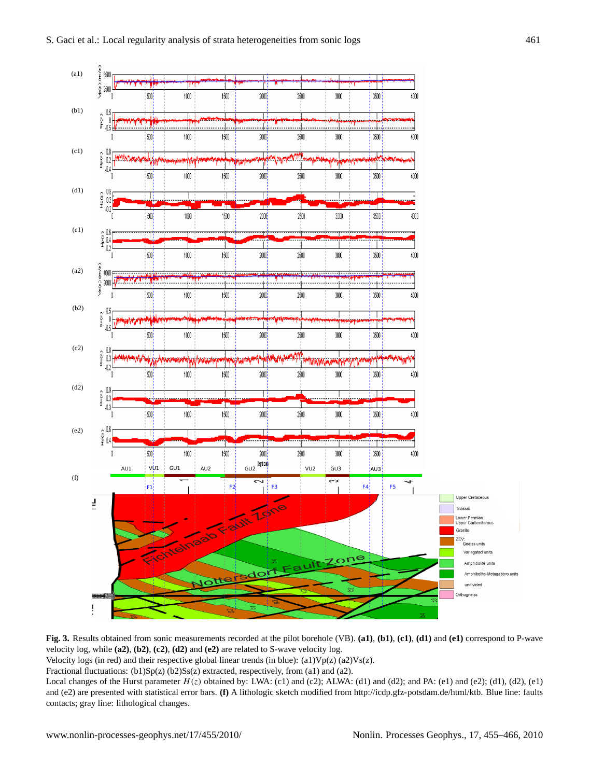

Fig. 3. Results obtained from sonic measurements recorded at the pilot borehole (VB). (a1), (b1), (c1), (d1) and (e1) correspond to P-wave velocity log, while (a2), (b2), (c2), (d2) and (e2) are related to 3-wave velocity log.<br>Velocity logs (in red) and their respective global linear trends (in blue): (a1)Vp(z) (a2)Vs(z). velocity log, while **(a2)**, **(b2)**, **(c2)**, **(d2)** and **(e2)** are related to S-wave velocity log.

Fractional fluctuations: (b1)Sp(z) (b2)Ss(z) extracted, respectively, from (a1) and (a2).

Local changes of the Hurst parameter  $H(z)$  obtained by: LWA: (c1) and (c2); ALWA: (d1) and (d2); and PA: (e1) and (e2); (d1), (d2), (e1) and (e2) are presented with statistical error bars. **(f)** A lithologic sketch modified from [http://icdp.gfz-potsdam.de/html/ktb.](http://icdp.gfz-potsdam.de/html/ktb) Blue line: faults contacts; gray line: lithological changes.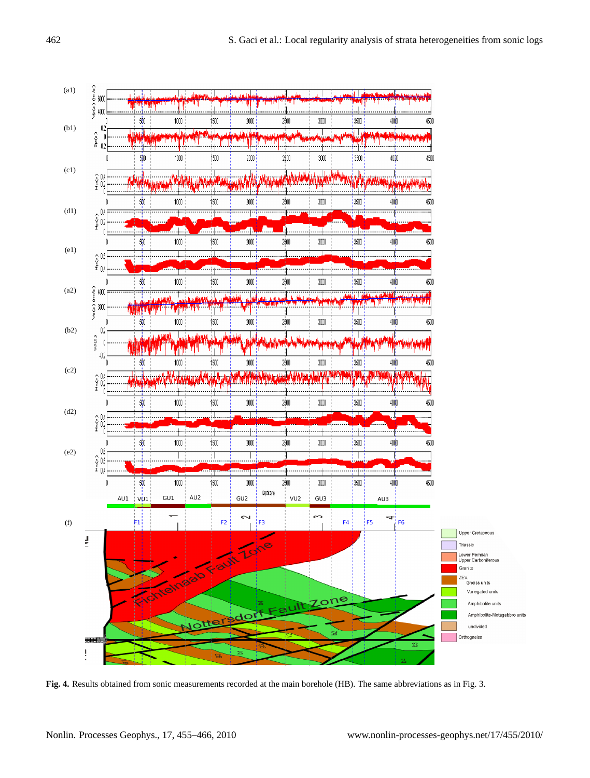

Fig. 4. Results obtained from sonic measurements recorded at the main borehole (HB). The same abbreviations as in Fig. 3.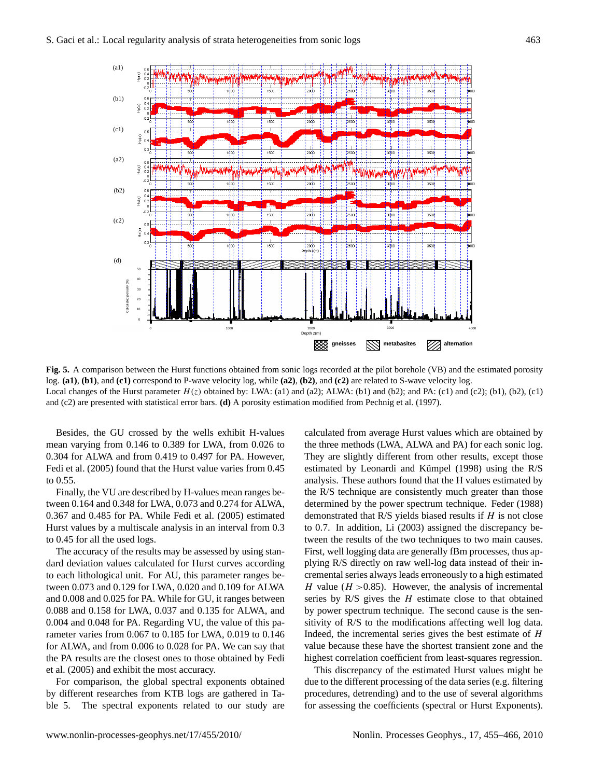

Fig. 5. log. **(a1)**, **(b1)**, and **(c1)** correspond to P-wave velocity log, while **(a2)**, **(b2)**, and **(c2)** are related to S-wave velocity log. **Fig. 5.** A comparison between the Hurst functions obtained from sonic logs recorded at the pilot borehole (VB) and the estimated porosity Local changes of the Hurst parameter  $H(z)$  obtained by: LWA: (a1) and (a2); ALWA: (b1) and (b2); and PA: (c1) and (c2); (b1), (b2), (c1) and (c2) are presented with statistical error bars. **(d)** A porosity estimation modified from Pechnig et al. (1997).

Besides, the GU crossed by the wells exhibit H-values mean varying from 0.146 to 0.389 for LWA, from 0.026 to 0.304 for ALWA and from 0.419 to 0.497 for PA. However, Fedi et al. (2005) found that the Hurst value varies from 0.45 to 0.55.

Finally, the VU are described by H-values mean ranges between 0.164 and 0.348 for LWA, 0.073 and 0.274 for ALWA, 0.367 and 0.485 for PA. While Fedi et al. (2005) estimated Hurst values by a multiscale analysis in an interval from 0.3 to 0.45 for all the used logs.

The accuracy of the results may be assessed by using standard deviation values calculated for Hurst curves according to each lithological unit. For AU, this parameter ranges between 0.073 and 0.129 for LWA, 0.020 and 0.109 for ALWA and 0.008 and 0.025 for PA. While for GU, it ranges between 0.088 and 0.158 for LWA, 0.037 and 0.135 for ALWA, and 0.004 and 0.048 for PA. Regarding VU, the value of this parameter varies from 0.067 to 0.185 for LWA, 0.019 to 0.146 for ALWA, and from 0.006 to 0.028 for PA. We can say that the PA results are the closest ones to those obtained by Fedi et al. (2005) and exhibit the most accuracy.

For comparison, the global spectral exponents obtained by different researches from KTB logs are gathered in Table 5. The spectral exponents related to our study are

by power spectrum technique. The second cause is the sencalculated from average Hurst values which are obtained by the three methods (LWA, ALWA and PA) for each sonic log. They are slightly different from other results, except those estimated by Leonardi and Kümpel (1998) using the  $R/S$ analysis. These authors found that the H values estimated by the R/S technique are consistently much greater than those determined by the power spectrum technique. Feder (1988) demonstrated that  $R/S$  yields biased results if  $H$  is not close to 0.7. In addition, Li (2003) assigned the discrepancy between the results of the two techniques to two main causes. First, well logging data are generally fBm processes, thus applying R/S directly on raw well-log data instead of their incremental series always leads erroneously to a high estimated H value ( $H > 0.85$ ). However, the analysis of incremental series by  $R/S$  gives the  $H$  estimate close to that obtained sitivity of R/S to the modifications affecting well log data. Indeed, the incremental series gives the best estimate of  $H$ value because these have the shortest transient zone and the highest correlation coefficient from least-squares regression.

This discrepancy of the estimated Hurst values might be due to the different processing of the data series (e.g. filtering procedures, detrending) and to the use of several algorithms for assessing the coefficients (spectral or Hurst Exponents).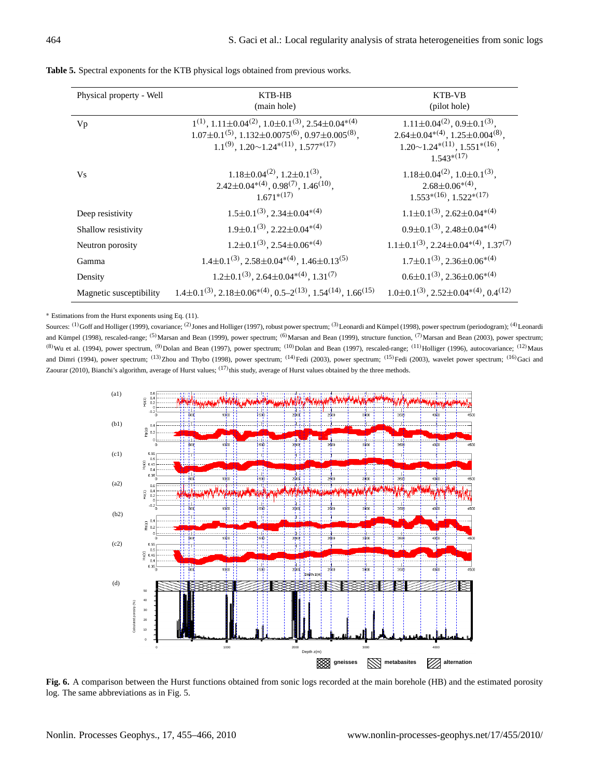| Physical property - Well | KTB-HB<br>(main hole)                                                                                                                                                                                                               | KTB-VB<br>(pilot hole)                                                                                                                                                |
|--------------------------|-------------------------------------------------------------------------------------------------------------------------------------------------------------------------------------------------------------------------------------|-----------------------------------------------------------------------------------------------------------------------------------------------------------------------|
| Vp                       | $1^{(1)}$ , 1.11±0.04 <sup>(2)</sup> , 1.0±0.1 <sup>(3)</sup> , 2.54±0.04 <sup>*(4)</sup><br>$1.07 \pm 0.1^{(5)}$ , $1.132 \pm 0.0075^{(6)}$ , $0.97 \pm 0.005^{(8)}$ ,<br>$1.1^{(9)}$ , $1.20 \sim 1.24^{*(11)}$ , $1.577^{*(17)}$ | $1.11 \pm 0.04^{(2)}$ , $0.9 \pm 0.1^{(3)}$ ,<br>$2.64 \pm 0.04^{*(4)}$ , $1.25 \pm 0.004^{(8)}$ ,<br>$1.20 \sim 1.24^{*(11)}$ , $1.551^{*(16)}$ .<br>$1.543^{*(17)}$ |
| <b>Vs</b>                | $1.18 \pm 0.04^{(2)}$ , $1.2 \pm 0.1^{(3)}$ ,<br>$2.42 \pm 0.04^{*(4)}$ , $0.98^{(7)}$ , $1.46^{(10)}$ ,<br>$1.671^{*(17)}$                                                                                                         | $1.18 \pm 0.04^{(2)}$ , $1.0 \pm 0.1^{(3)}$ ,<br>$2.68 \pm 0.06^{*(4)}$ .<br>$1.553^{*(16)}$ , $1.522^{*(17)}$                                                        |
| Deep resistivity         | $1.5 \pm 0.1^{(3)}$ , $2.34 \pm 0.04^{*(4)}$                                                                                                                                                                                        | $1.1 \pm 0.1^{(3)}$ , $2.62 \pm 0.04^{*(4)}$                                                                                                                          |
| Shallow resistivity      | $1.9\pm0.1^{(3)}$ , $2.22\pm0.04^{*(4)}$                                                                                                                                                                                            | $0.9\pm0.1^{(3)}$ , 2.48 $\pm0.04^{*(4)}$                                                                                                                             |
| Neutron porosity         | $1.2 \pm 0.1^{(3)}$ , $2.54 \pm 0.06^{*(4)}$                                                                                                                                                                                        | $1.1 \pm 0.1^{(3)}$ , $2.24 \pm 0.04^{*(4)}$ , $1.37^{(7)}$                                                                                                           |
| Gamma                    | $1.4\pm0.1^{(3)}$ , $2.58\pm0.04^{*(4)}$ , $1.46\pm0.13^{(5)}$                                                                                                                                                                      | $1.7\pm0.1^{(3)}$ , $2.36\pm0.06^{*(4)}$                                                                                                                              |
| Density                  | $1.2\pm0.1^{(3)}$ , $2.64\pm0.04^{*(4)}$ , $1.31^{(7)}$                                                                                                                                                                             | $0.6\pm0.1^{(3)}$ , 2.36 $\pm0.06^{*(4)}$                                                                                                                             |
| Magnetic susceptibility  | $1.4\pm0.1^{(3)}$ , $2.18\pm0.06^{*(4)}$ , $0.5-2^{(13)}$ , $1.54^{(14)}$ , $1.66^{(15)}$                                                                                                                                           | $1.0\pm0.1^{(3)}$ , $2.52\pm0.04^{*(4)}$ , $0.4^{(12)}$                                                                                                               |

## **Table 5.** Spectral exponents for the KTB physical logs obtained from previous works.

<sup>∗</sup> Estimations from the Hurst exponents using Eq. (11).

Sources: <sup>(1)</sup>Goff and Holliger (1999), covariance; <sup>(2)</sup>Jones and Holliger (1997), robust power spectrum; <sup>(3)</sup>Leonardi and Kümpel (1998), power spectrum (periodogram); <sup>(4)</sup>Leonardi and Kümpel (1998), rescaled-range; <sup>(5)</sup>Marsan and Bean (1999), power spectrum; <sup>(6)</sup>Marsan and Bean (1999), structure function, <sup>(7)</sup>Marsan and Bean (2003), power spectrum; <sup>(8)</sup>Wu et al. (1994), power spectrum, <sup>(9)</sup>Dolan and Bean (1997), power spectrum; <sup>(10)</sup>Dolan and Bean (1997), rescaled-range; <sup>(11)</sup>Holliger (1996), autocovariance; <sup>(12)</sup>Maus and Dimri (1994), power spectrum; <sup>(13)</sup>Zhou and Thybo (1998), power spectrum; <sup>(14)</sup>Fedi (2003), power spectrum; <sup>(15)</sup>Fedi (2003), wavelet power spectrum; <sup>(16)</sup>Gaci and Zaourar (2010), Bianchi's algorithm, average of Hurst values;  $(17)$  this study, average of Hurst values obtained by the three methods.



log. The same abbreviations as in Fig. 5. **Fig. 6.** A comparison between the Hurst functions obtained from sonic logs recorded at the main borehole (HB) and the estimated porosity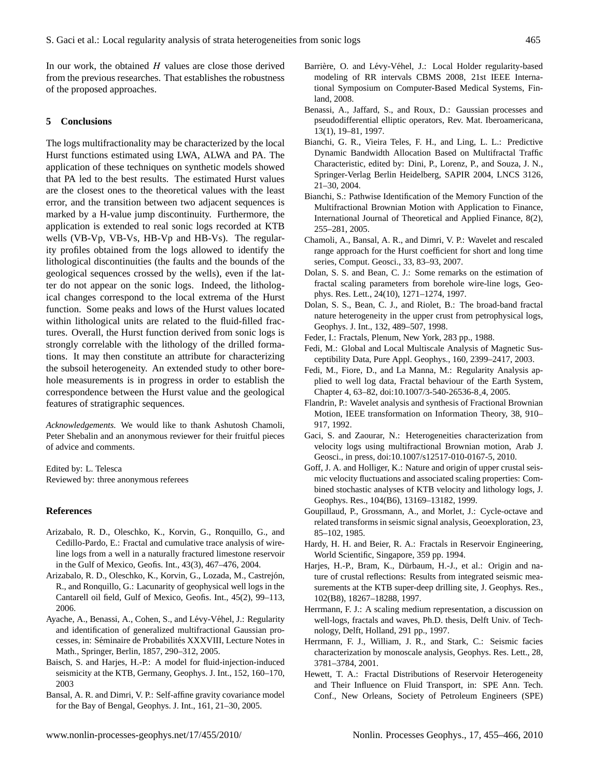In our work, the obtained  $H$  values are close those derived from the previous researches. That establishes the robustness of the proposed approaches.

## **5 Conclusions**

The logs multifractionality may be characterized by the local Hurst functions estimated using LWA, ALWA and PA. The application of these techniques on synthetic models showed that PA led to the best results. The estimated Hurst values are the closest ones to the theoretical values with the least error, and the transition between two adjacent sequences is marked by a H-value jump discontinuity. Furthermore, the application is extended to real sonic logs recorded at KTB wells (VB-Vp, VB-Vs, HB-Vp and HB-Vs). The regularity profiles obtained from the logs allowed to identify the lithological discontinuities (the faults and the bounds of the geological sequences crossed by the wells), even if the latter do not appear on the sonic logs. Indeed, the lithological changes correspond to the local extrema of the Hurst function. Some peaks and lows of the Hurst values located within lithological units are related to the fluid-filled fractures. Overall, the Hurst function derived from sonic logs is strongly correlable with the lithology of the drilled formations. It may then constitute an attribute for characterizing the subsoil heterogeneity. An extended study to other borehole measurements is in progress in order to establish the correspondence between the Hurst value and the geological features of stratigraphic sequences.

*Acknowledgements.* We would like to thank Ashutosh Chamoli, Peter Shebalin and an anonymous reviewer for their fruitful pieces of advice and comments.

Edited by: L. Telesca Reviewed by: three anonymous referees

### **References**

- Arizabalo, R. D., Oleschko, K., Korvin, G., Ronquillo, G., and Cedillo-Pardo, E.: Fractal and cumulative trace analysis of wireline logs from a well in a naturally fractured limestone reservoir in the Gulf of Mexico, Geofis. Int., 43(3), 467–476, 2004.
- Arizabalo, R. D., Oleschko, K., Korvin, G., Lozada, M., Castrejón, R., and Ronquillo, G.: Lacunarity of geophysical well logs in the Cantarell oil field, Gulf of Mexico, Geofis. Int., 45(2), 99–113, 2006.
- Ayache, A., Benassi, A., Cohen, S., and Lévy-Véhel, J.: Regularity and identification of generalized multifractional Gaussian processes, in: Séminaire de Probabilités XXXVIII, Lecture Notes in Math., Springer, Berlin, 1857, 290–312, 2005.
- Baisch, S. and Harjes, H.-P.: A model for fluid-injection-induced seismicity at the KTB, Germany, Geophys. J. Int., 152, 160–170, 2003
- Bansal, A. R. and Dimri, V. P.: Self-affine gravity covariance model for the Bay of Bengal, Geophys. J. Int., 161, 21–30, 2005.
- Barrière, O. and Lévy-Véhel, J.: Local Holder regularity-based modeling of RR intervals CBMS 2008, 21st IEEE International Symposium on Computer-Based Medical Systems, Finland, 2008.
- Benassi, A., Jaffard, S., and Roux, D.: Gaussian processes and pseudodifferential elliptic operators, Rev. Mat. Iberoamericana, 13(1), 19–81, 1997.
- Bianchi, G. R., Vieira Teles, F. H., and Ling, L. L.: Predictive Dynamic Bandwidth Allocation Based on Multifractal Traffic Characteristic, edited by: Dini, P., Lorenz, P., and Souza, J. N., Springer-Verlag Berlin Heidelberg, SAPIR 2004, LNCS 3126, 21–30, 2004.
- Bianchi, S.: Pathwise Identification of the Memory Function of the Multifractional Brownian Motion with Application to Finance, International Journal of Theoretical and Applied Finance, 8(2), 255–281, 2005.
- Chamoli, A., Bansal, A. R., and Dimri, V. P.: Wavelet and rescaled range approach for the Hurst coefficient for short and long time series, Comput. Geosci., 33, 83–93, 2007.
- Dolan, S. S. and Bean, C. J.: Some remarks on the estimation of fractal scaling parameters from borehole wire-line logs, Geophys. Res. Lett., 24(10), 1271–1274, 1997.
- Dolan, S. S., Bean, C. J., and Riolet, B.: The broad-band fractal nature heterogeneity in the upper crust from petrophysical logs, Geophys. J. Int., 132, 489–507, 1998.
- Feder, I.: Fractals, Plenum, New York, 283 pp., 1988.
- Fedi, M.: Global and Local Multiscale Analysis of Magnetic Susceptibility Data, Pure Appl. Geophys., 160, 2399–2417, 2003.
- Fedi, M., Fiore, D., and La Manna, M.: Regularity Analysis applied to well log data, Fractal behaviour of the Earth System, Chapter 4, 63-82, doi:10.1007/3-540-26536-8<sub>-</sub>4, 2005.
- Flandrin, P.: Wavelet analysis and synthesis of Fractional Brownian Motion, IEEE transformation on Information Theory, 38, 910– 917, 1992.
- Gaci, S. and Zaourar, N.: Heterogeneities characterization from velocity logs using multifractional Brownian motion, Arab J. Geosci., in press, doi:10.1007/s12517-010-0167-5, 2010.
- Goff, J. A. and Holliger, K.: Nature and origin of upper crustal seismic velocity fluctuations and associated scaling properties: Combined stochastic analyses of KTB velocity and lithology logs, J. Geophys. Res., 104(B6), 13169–13182, 1999.
- Goupillaud, P., Grossmann, A., and Morlet, J.: Cycle-octave and related transforms in seismic signal analysis, Geoexploration, 23, 85–102, 1985.
- Hardy, H. H. and Beier, R. A.: Fractals in Reservoir Engineering, World Scientific, Singapore, 359 pp. 1994.
- Harjes, H.-P., Bram, K., Dürbaum, H.-J., et al.: Origin and nature of crustal reflections: Results from integrated seismic measurements at the KTB super-deep drilling site, J. Geophys. Res., 102(B8), 18267–18288, 1997.
- Herrmann, F. J.: A scaling medium representation, a discussion on well-logs, fractals and waves, Ph.D. thesis, Delft Univ. of Technology, Delft, Holland, 291 pp., 1997.
- Herrmann, F. J., William, J. R., and Stark, C.: Seismic facies characterization by monoscale analysis, Geophys. Res. Lett., 28, 3781–3784, 2001.
- Hewett, T. A.: Fractal Distributions of Reservoir Heterogeneity and Their Influence on Fluid Transport, in: SPE Ann. Tech. Conf., New Orleans, Society of Petroleum Engineers (SPE)